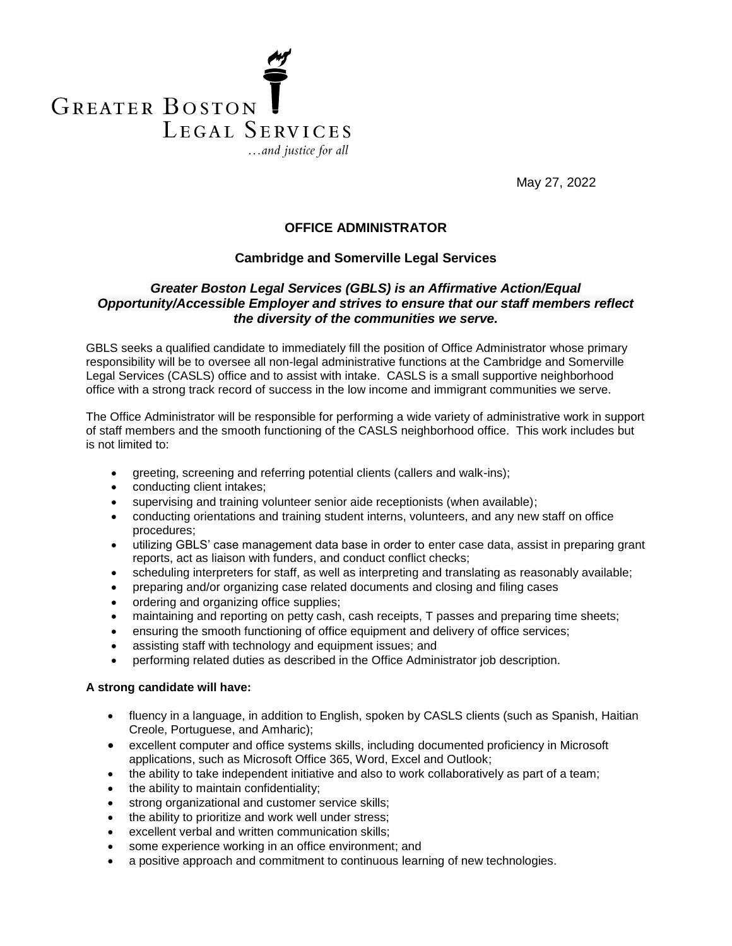

May 27, 2022

# **OFFICE ADMINISTRATOR**

### **Cambridge and Somerville Legal Services**

# *Greater Boston Legal Services (GBLS) is an Affirmative Action/Equal Opportunity/Accessible Employer and strives to ensure that our staff members reflect the diversity of the communities we serve.*

GBLS seeks a qualified candidate to immediately fill the position of Office Administrator whose primary responsibility will be to oversee all non-legal administrative functions at the Cambridge and Somerville Legal Services (CASLS) office and to assist with intake. CASLS is a small supportive neighborhood office with a strong track record of success in the low income and immigrant communities we serve.

The Office Administrator will be responsible for performing a wide variety of administrative work in support of staff members and the smooth functioning of the CASLS neighborhood office. This work includes but is not limited to:

- greeting, screening and referring potential clients (callers and walk-ins);
- conducting client intakes;
- supervising and training volunteer senior aide receptionists (when available);
- conducting orientations and training student interns, volunteers, and any new staff on office procedures;
- utilizing GBLS' case management data base in order to enter case data, assist in preparing grant reports, act as liaison with funders, and conduct conflict checks;
- scheduling interpreters for staff, as well as interpreting and translating as reasonably available;
- preparing and/or organizing case related documents and closing and filing cases
- ordering and organizing office supplies;
- maintaining and reporting on petty cash, cash receipts, T passes and preparing time sheets;
- ensuring the smooth functioning of office equipment and delivery of office services;
- assisting staff with technology and equipment issues; and
- performing related duties as described in the Office Administrator job description.

#### **A strong candidate will have:**

- fluency in a language, in addition to English, spoken by CASLS clients (such as Spanish, Haitian Creole, Portuguese, and Amharic);
- excellent computer and office systems skills, including documented proficiency in Microsoft applications, such as Microsoft Office 365, Word, Excel and Outlook;
- the ability to take independent initiative and also to work collaboratively as part of a team;
- the ability to maintain confidentiality;
- strong organizational and customer service skills;
- the ability to prioritize and work well under stress;
- excellent verbal and written communication skills;
- some experience working in an office environment; and
- a positive approach and commitment to continuous learning of new technologies.